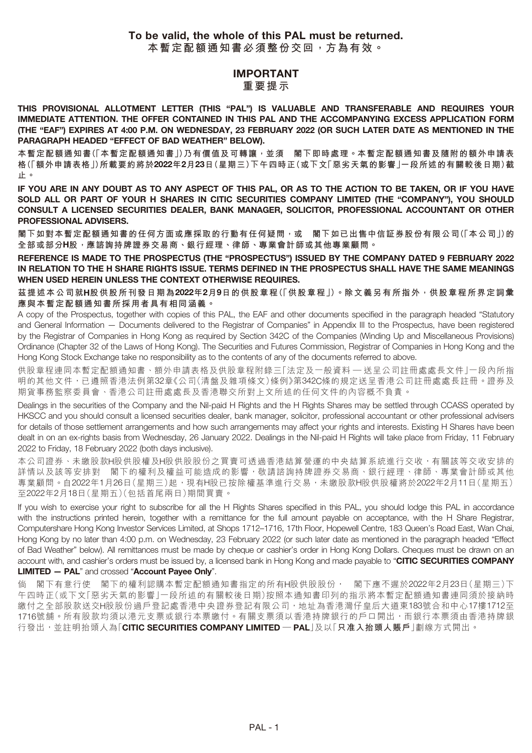#### **IMPORTANT 重要提示**

**THIS PROVISIONAL ALLOTMENT LETTER (THIS "PAL") IS VALUABLE AND TRANSFERABLE AND REQUIRES YOUR IMMEDIATE ATTENTION. THE OFFER CONTAINED IN THIS PAL AND THE ACCOMPANYING EXCESS APPLICATION FORM (THE "EAF") EXPIRES AT 4:00 P.M. ON WEDNESDAY, 23 FEBRUARY 2022 (OR SUCH LATER DATE AS MENTIONED IN THE PARAGRAPH HEADED "EFFECT OF BAD WEATHER" BELOW).**

**本暫定配額通知書(「本暫定配額通知書」)乃有價值及可轉讓,並須 閣下即時處理。本暫定配額通知書及隨附的額外申請表 格(「額外申請表格」)所載要約將於2022年2月23日(星期三)下午四時正(或下文「惡劣天氣的影響」一段所述的有關較後日期)截 止。**

**IF YOU ARE IN ANY DOUBT AS TO ANY ASPECT OF THIS PAL, OR AS TO THE ACTION TO BE TAKEN, OR IF YOU HAVE SOLD ALL OR PART OF YOUR H SHARES IN CITIC SECURITIES COMPANY LIMITED (THE "COMPANY"), YOU SHOULD CONSULT A LICENSED SECURITIES DEALER, BANK MANAGER, SOLICITOR, PROFESSIONAL ACCOUNTANT OR OTHER PROFESSIONAL ADVISERS.**

**閣下如對本暫定配額通知書的任何方面或應採取的行動有任何疑問,或 閣下如已出售中信証券股份有限公司(「本公司」)的 全部或部分H股,應諮詢持牌證券交易商、銀行經理、律師、專業會計師或其他專業顧問。**

**REFERENCE IS MADE TO THE PROSPECTUS (THE "PROSPECTUS") ISSUED BY THE COMPANY DATED 9 FEBRUARY 2022 IN RELATION TO THE H SHARE RIGHTS ISSUE. TERMS DEFINED IN THE PROSPECTUS SHALL HAVE THE SAME MEANINGS WHEN USED HEREIN UNLESS THE CONTEXT OTHERWISE REQUIRES.**

**茲提述本公司就H股供股所刊發日期為2022年2月9日的供股章程(「供股章程」)。除文義另有所指外,供股章程所界定詞彙 應與本暫定配額通知書所採用者具有相同涵義。**

A copy of the Prospectus, together with copies of this PAL, the EAF and other documents specified in the paragraph headed "Statutory and General Information — Documents delivered to the Registrar of Companies" in Appendix III to the Prospectus, have been registered by the Registrar of Companies in Hong Kong as required by Section 342C of the Companies (Winding Up and Miscellaneous Provisions) Ordinance (Chapter 32 of the Laws of Hong Kong). The Securities and Futures Commission, Registrar of Companies in Hong Kong and the Hong Kong Stock Exchange take no responsibility as to the contents of any of the documents referred to above.

供股章程連同本暫定配額通知書、額外申請表格及供股章程附錄三「法定及一般資料 — 送呈公司註冊處處長文件」一段內所指 明的其他文件,已遵照香港法例第32章《公司(清盤及雜項條文)條例》第342C條的規定送呈香港公司註冊處處長註冊。證券及 期貨事務監察委員會、香港公司註冊處處長及香港聯交所對上文所述的任何文件的內容概不負責。

Dealings in the securities of the Company and the Nil-paid H Rights and the H Rights Shares may be settled through CCASS operated by HKSCC and you should consult a licensed securities dealer, bank manager, solicitor, professional accountant or other professional advisers for details of those settlement arrangements and how such arrangements may affect your rights and interests. Existing H Shares have been dealt in on an ex-rights basis from Wednesday, 26 January 2022. Dealings in the Nil-paid H Rights will take place from Friday, 11 February 2022 to Friday, 18 February 2022 (both days inclusive).

本公司證券、未繳股款H股供股權及H股供股股份之買賣可透過香港結算營運的中央結算系統進行交收,有關該等交收安排的 詳情以及該等安排對 閣下的權利及權益可能造成的影響,敬請諮詢持牌證券交易商、銀行經理、律師、專業會計師或其他 專業顧問。自2022年1月26日(星期三)起,現有H股已按除權基準進行交易,未繳股款H股供股權將於2022年2月11日(星期五) 至2022年2月18日(星期五)(包括首尾兩日)期間買賣。

If you wish to exercise your right to subscribe for all the H Rights Shares specified in this PAL, you should lodge this PAL in accordance with the instructions printed herein, together with a remittance for the full amount payable on acceptance, with the H Share Registrar, Computershare Hong Kong Investor Services Limited, at Shops 1712–1716, 17th Floor, Hopewell Centre, 183 Queen's Road East, Wan Chai, Hong Kong by no later than 4:00 p.m. on Wednesday, 23 February 2022 (or such later date as mentioned in the paragraph headed "Effect of Bad Weather" below). All remittances must be made by cheque or cashier's order in Hong Kong Dollars. Cheques must be drawn on an account with, and cashier's orders must be issued by, a licensed bank in Hong Kong and made payable to "**CITIC SECURITIES COMPANY LIMITED — PAL**" and crossed "**Account Payee Only**".

閣下有意行使 閣下的權利認購本暫定配額通知書指定的所有H股供股股份, 閣下應不遲於2022年2月23日(星期三)下 午四時正(或下文「惡劣天氣的影響」一段所述的有關較後日期)按照本通知書印列的指示將本暫定配額通知書連同須於接納時 繳付之全部股款送交H股股份過戶登記處香港中央證券登記有限公司,地址為香港灣仔皇后大道東183號合和中心17樓1712至 1716號舖。所有股款均須以港元支票或銀行本票繳付。有關支票須以香港持牌銀行的戶口開出,而銀行本票須由香港持牌銀 行發出,並註明抬頭人為「**CITIC SECURITIES COMPANY LIMITED — PAL**」及以「**只准入抬頭人賬戶**」劃線方式開出。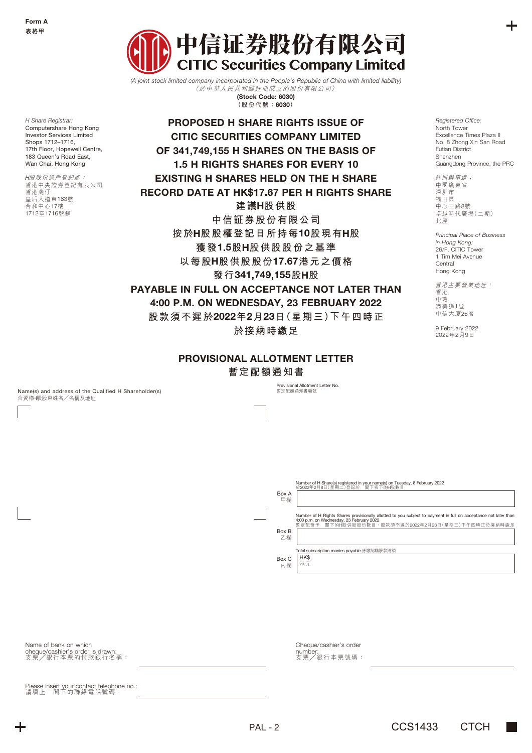*H Share Registrar:* Computershare Hong Kong Investor Services Limited Shops 1712–1716, 17th Floor, Hopewell Centre, 183 Queen's Road East Wan Chai, Hong Kong H股股份過戶登記處: 香港中央證券登記有限公司

香港灣仔 皇后大道東183號 合和中心17樓 1712至1716號舖



*(A joint stock limited company incorporated in the People's Republic of China with limited liability)*  (於中華人民共和國註冊成立的股份有限公司) **(Stock Code: 6030) (股份代號:6030)**

**PROPOSED H SHARE RIGHTS ISSUE OF CITIC SECURITIES COMPANY LIMITED OF 341,749,155 H SHARES ON THE BASIS OF 1.5 H RIGHTS SHARES FOR EVERY 10 EXISTING H SHARES HELD ON THE H SHARE RECORD DATE AT HK\$17.67 PER H RIGHTS SHARE 建議H股供股 中信証券股份有限公司 按於H股股權登記日所持每10股現有H股 獲發1.5股H股供股股份之基準 以每股H股供股股份17.67港元之價格 發行341,749,155股H股 PAYABLE IN FULL ON ACCEPTANCE NOT LATER THAN**

**4:00 P.M. ON WEDNESDAY, 23 FEBRUARY 2022**

**股款須不遲於2022年2月23日(星期三)下午四時正**

**於接納時繳足**

# **PROVISIONAL ALLOTMENT LETTER**

**暫定配額通知書**

Name(s) and address of the Qualified H Shareholder(s) 合資格H股股東姓名╱名稱及地址

**rovisional Allotment Letter No.** hovisional Allotther<br>暫定配額通知書編號

*Registered Office:* North Tower Excellence Times Plaza II No. 8 Zhong Xin San Road Futian District Shenzhen Guangdong Province, the PRC

註冊辦事處: 中國廣東省 深圳市 福田區 ……<br>中心三路8號 卓越時代廣場(二期) 北座

*Principal Place of Business in Hong Kong:* 26/F, CITIC Tower 1 Tim Mei Avenue **Central** Hong Kong

香港主要營業地址: 香港 中環 添美道1號 中信大廈26層

9 February 2022 2022年2月9日

|       | Number of H Share(s) registered in your name(s) on Tuesday, 8 February 2022 |
|-------|-----------------------------------------------------------------------------|
|       | 於2022年2月8日(星期二)登記於「閣下名下的H股數目                                                |
| Box A |                                                                             |

| 甲欄          |                                                                                                                                                                                                                   |
|-------------|-------------------------------------------------------------------------------------------------------------------------------------------------------------------------------------------------------------------|
|             | Number of H Rights Shares provisionally allotted to you subject to payment in full on acceptance not later than<br>4:00 p.m. on Wednesday, 23 February 2022<br>暫定配發予 閣下的H股供股股份數目,股款須不遲於2022年2月23日(星期三)下午四時正於接納時繳足 |
| Box B<br>乙欄 |                                                                                                                                                                                                                   |
|             | Total subscription monies payable 應繳認購股款總額                                                                                                                                                                        |
| Box C<br>丙欄 | HK\$<br>港元                                                                                                                                                                                                        |

Name of bank on which cheque/cashier's order is drawn: 支票╱銀行本票的付款銀行名稱:

Please insert your contact telephone no.: 請填上 閣下的聯絡電話號碼:

Cheque/cashier's order number: 支票╱銀行本票號碼: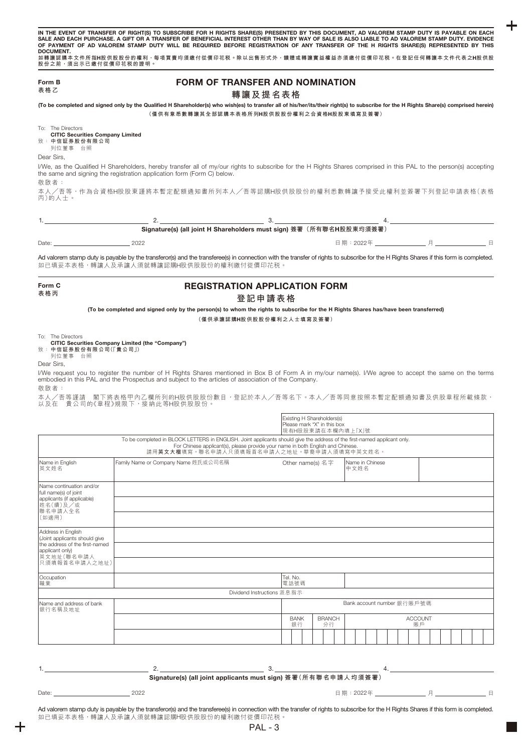| Form B<br>表格乙                                                                                                                                                                                                                                                                                                                                                                                                             |                                                                                                                                                                                                                                                             | <b>FORM OF TRANSFER AND NOMINATION</b>                                                                                                                                                                                                                   |                            |                |
|---------------------------------------------------------------------------------------------------------------------------------------------------------------------------------------------------------------------------------------------------------------------------------------------------------------------------------------------------------------------------------------------------------------------------|-------------------------------------------------------------------------------------------------------------------------------------------------------------------------------------------------------------------------------------------------------------|----------------------------------------------------------------------------------------------------------------------------------------------------------------------------------------------------------------------------------------------------------|----------------------------|----------------|
|                                                                                                                                                                                                                                                                                                                                                                                                                           | (To be completed and signed only by the Qualified H Shareholder(s) who wish(es) to transfer all of his/her/its/their right(s) to subscribe for the H Rights Share(s) comprised herein)                                                                      | 轉讓及提名表格<br>(僅供有意悉數轉讓其全部認購本表格所列H股供股股份權利之合資格H股股東填寫及簽署)                                                                                                                                                                                                     |                            |                |
| To: The Directors<br><b>CITIC Securities Company Limited</b><br>致:中信証券股份有限公司<br>列位董事 台照                                                                                                                                                                                                                                                                                                                                   |                                                                                                                                                                                                                                                             |                                                                                                                                                                                                                                                          |                            |                |
| Dear Sirs,                                                                                                                                                                                                                                                                                                                                                                                                                | I/We, as the Qualified H Shareholders, hereby transfer all of my/our rights to subscribe for the H Rights Shares comprised in this PAL to the person(s) accepting<br>the same and signing the registration application form (Form C) below.                 |                                                                                                                                                                                                                                                          |                            |                |
| 敬啟者:<br>丙)的人士。                                                                                                                                                                                                                                                                                                                                                                                                            | 本人/吾等,作為合資格H股股東謹將本暫定配額通知書所列本人/吾等認購H股供股股份的權利悉數轉讓予接受此權利並簽署下列登記申請表格(表格                                                                                                                                                                                         |                                                                                                                                                                                                                                                          |                            |                |
|                                                                                                                                                                                                                                                                                                                                                                                                                           | $\sim$ 2.                                                                                                                                                                                                                                                   | Signature(s) (all joint H Shareholders must sign) 簽署 (所有聯名H股股東均須簽署)                                                                                                                                                                                      |                            |                |
|                                                                                                                                                                                                                                                                                                                                                                                                                           |                                                                                                                                                                                                                                                             |                                                                                                                                                                                                                                                          |                            |                |
| Date: 2022                                                                                                                                                                                                                                                                                                                                                                                                                | Ad valorem stamp duty is payable by the transferor(s) and the transferee(s) in connection with the transfer of rights to subscribe for the H Rights Shares if this form is completed.<br>如已填妥本表格,轉讓人及承讓人須就轉讓認購H股供股股份的權利繳付從價印花税。                             |                                                                                                                                                                                                                                                          |                            |                |
| Form C<br>表格丙                                                                                                                                                                                                                                                                                                                                                                                                             |                                                                                                                                                                                                                                                             | <b>REGISTRATION APPLICATION FORM</b><br>登記申請表格                                                                                                                                                                                                           |                            |                |
|                                                                                                                                                                                                                                                                                                                                                                                                                           | (To be completed and signed only by the person(s) to whom the rights to subscribe for the H Rights Shares has/have been transferred)                                                                                                                        |                                                                                                                                                                                                                                                          |                            |                |
|                                                                                                                                                                                                                                                                                                                                                                                                                           |                                                                                                                                                                                                                                                             | (僅供承讓認購H股供股股份權利之人士填寫及簽署)                                                                                                                                                                                                                                 |                            |                |
|                                                                                                                                                                                                                                                                                                                                                                                                                           | CITIC Securities Company Limited (the "Company")                                                                                                                                                                                                            |                                                                                                                                                                                                                                                          |                            |                |
| 列位董事 台照                                                                                                                                                                                                                                                                                                                                                                                                                   | I/We request you to register the number of H Rights Shares mentioned in Box B of Form A in my/our name(s). I/We agree to accept the same on the terms<br>embodied in this PAL and the Prospectus and subject to the articles of association of the Company. |                                                                                                                                                                                                                                                          |                            |                |
|                                                                                                                                                                                                                                                                                                                                                                                                                           | 本人/吾等謹請 閣下將表格甲內乙欄所列的H股供股股份數目,登記於本人/吾等名下。本人/吾等同意按照本暫定配額通知書及供股章程所載條款,<br>以及在 貴公司的《章程》規限下,接納此等H股供股股份。                                                                                                                                                          | Existing H Shareholders(s)<br>Please mark "X" in this box<br>現有H股股東請在本欄內填上「X」號                                                                                                                                                                           |                            |                |
|                                                                                                                                                                                                                                                                                                                                                                                                                           |                                                                                                                                                                                                                                                             | To be completed in BLOCK LETTERS in ENGLISH. Joint applicants should give the address of the first-named applicant only.<br>For Chinese applicant(s), please provide your name in both English and Chinese.<br>請用英文大楷填寫。聯名申請人只須填報首名申請人之地址。華裔申請人須填寫中英文姓名。 |                            |                |
|                                                                                                                                                                                                                                                                                                                                                                                                                           | Family Name or Company Name 姓氏或公司名稱                                                                                                                                                                                                                         | Other name(s) 名字                                                                                                                                                                                                                                         | Name in Chinese<br>中文姓名    |                |
|                                                                                                                                                                                                                                                                                                                                                                                                                           |                                                                                                                                                                                                                                                             |                                                                                                                                                                                                                                                          |                            |                |
|                                                                                                                                                                                                                                                                                                                                                                                                                           |                                                                                                                                                                                                                                                             |                                                                                                                                                                                                                                                          |                            |                |
|                                                                                                                                                                                                                                                                                                                                                                                                                           |                                                                                                                                                                                                                                                             |                                                                                                                                                                                                                                                          |                            |                |
|                                                                                                                                                                                                                                                                                                                                                                                                                           |                                                                                                                                                                                                                                                             | Tel. No.<br>電話號碼                                                                                                                                                                                                                                         |                            |                |
|                                                                                                                                                                                                                                                                                                                                                                                                                           |                                                                                                                                                                                                                                                             | Dividend Instructions 派息指示                                                                                                                                                                                                                               |                            |                |
|                                                                                                                                                                                                                                                                                                                                                                                                                           |                                                                                                                                                                                                                                                             | <b>BANK</b><br><b>BRANCH</b>                                                                                                                                                                                                                             | Bank account number 銀行賬戶號碼 | <b>ACCOUNT</b> |
|                                                                                                                                                                                                                                                                                                                                                                                                                           |                                                                                                                                                                                                                                                             | 銀行<br>分行                                                                                                                                                                                                                                                 |                            | 賬戶             |
|                                                                                                                                                                                                                                                                                                                                                                                                                           |                                                                                                                                                                                                                                                             |                                                                                                                                                                                                                                                          |                            |                |
| To: The Directors<br>致: 中信証券股份有限公司(「貴公司」)<br>Dear Sirs.<br>敬啟者:<br>Name in English<br>英文姓名<br>Name continuation and/or<br>full name(s) of joint<br>applicants (if applicable)<br>姓名(續)及/或<br>聯名申請人全名<br>(如適用)<br>Address in English<br>(Joint applicants should give<br>the address of the first-named<br>applicant only)<br>英文地址(聯名申請人<br>只須填報首名申請人之地址)<br>Occupation<br>職業<br>Name and address of bank<br>銀行名稱及地址<br>1. |                                                                                                                                                                                                                                                             | Signature(s) (all joint applicants must sign) 簽署(所有聯名申請人均須簽署)                                                                                                                                                                                            |                            |                |

 $\ddagger$ 

 $\ddag$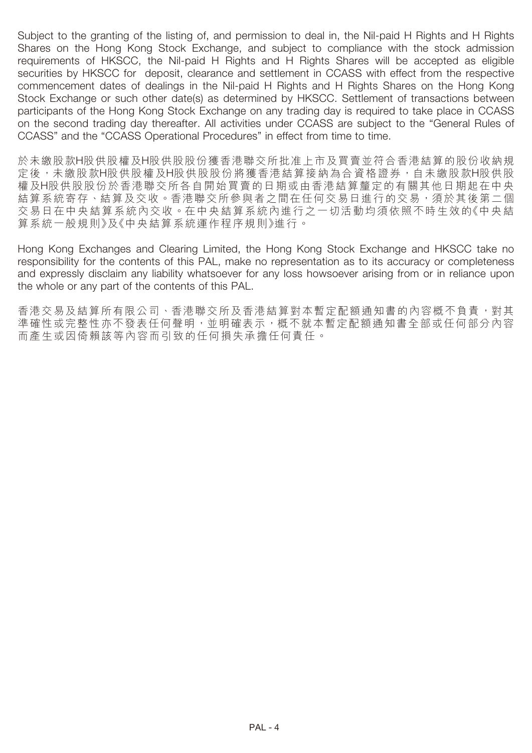Subject to the granting of the listing of, and permission to deal in, the Nil-paid H Rights and H Rights Shares on the Hong Kong Stock Exchange, and subject to compliance with the stock admission requirements of HKSCC, the Nil-paid H Rights and H Rights Shares will be accepted as eligible securities by HKSCC for deposit, clearance and settlement in CCASS with effect from the respective commencement dates of dealings in the Nil-paid H Rights and H Rights Shares on the Hong Kong Stock Exchange or such other date(s) as determined by HKSCC. Settlement of transactions between participants of the Hong Kong Stock Exchange on any trading day is required to take place in CCASS on the second trading day thereafter. All activities under CCASS are subject to the "General Rules of CCASS" and the "CCASS Operational Procedures" in effect from time to time.

於未繳股款H股供股權及H股供股股份獲香港聯交所批准上市及買賣並符合香港結算的股份收納規 定後,未繳股款H股供股權及H股供股股份將獲香港結算接納為合資格證券,自未繳股款H股供股 權及H股供股股份於香港聯交所各自開始買賣的日期或由香港結算釐定的有關其他日期起在中央 結算系統寄存、結算及交收。香港聯交所參與者之間在任何交易日進行的交易,須於其後第二個 交易日在中央結算系統內進行之一切活動均須依照不時生效的《中央結 算系統一般規則》及《中央結算系統運作程序規則》進行。

Hong Kong Exchanges and Clearing Limited, the Hong Kong Stock Exchange and HKSCC take no responsibility for the contents of this PAL, make no representation as to its accuracy or completeness and expressly disclaim any liability whatsoever for any loss howsoever arising from or in reliance upon the whole or any part of the contents of this PAL.

香港交易及結算所有限公司、香港聯交所及香港結算對本暫定配額通知書的內容概不負責,對其 準確性或完整性亦不發表任何聲明,並明確表示,概不就本暫定配額通知書全部或任何部分內容 而產生或因倚賴該等內容而引致的任何損失承擔任何責任。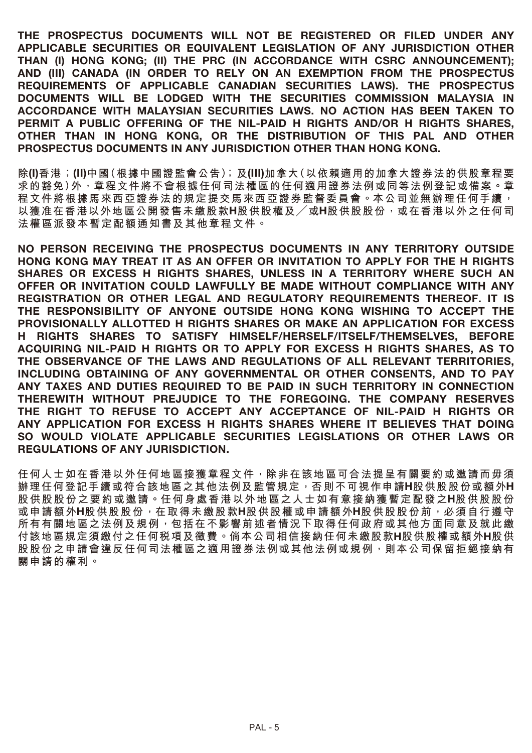**THE PROSPECTUS DOCUMENTS WILL NOT BE REGISTERED OR FILED UNDER ANY APPLICABLE SECURITIES OR EQUIVALENT LEGISLATION OF ANY JURISDICTION OTHER THAN (I) HONG KONG; (II) THE PRC (IN ACCORDANCE WITH CSRC ANNOUNCEMENT); AND (III) CANADA (IN ORDER TO RELY ON AN EXEMPTION FROM THE PROSPECTUS REQUIREMENTS OF APPLICABLE CANADIAN SECURITIES LAWS). THE PROSPECTUS DOCUMENTS WILL BE LODGED WITH THE SECURITIES COMMISSION MALAYSIA IN ACCORDANCE WITH MALAYSIAN SECURITIES LAWS. NO ACTION HAS BEEN TAKEN TO PERMIT A PUBLIC OFFERING OF THE NIL-PAID H RIGHTS AND/OR H RIGHTS SHARES, OTHER THAN IN HONG KONG, OR THE DISTRIBUTION OF THIS PAL AND OTHER PROSPECTUS DOCUMENTS IN ANY JURISDICTION OTHER THAN HONG KONG.**

**除(I)香港;(II)中國(根據中國證監會公告);及(III)加拿大(以依賴適用的加拿大證券法的供股章程要 求的豁免)外,章程文件將不會根據任何司法權區的任何適用證券法例或同等法例登記或備案。章 程文件將根據馬來西亞證券法的規定提交馬來西亞證券監督委員會。本公司並無辦理任何手續, 以獲准在香港以外地區公開發售未繳股款H股供股權及╱或H股供股股份,或在香港以外之任何司 法權區派發本暫定配額通知書及其他章程文件。**

**NO PERSON RECEIVING THE PROSPECTUS DOCUMENTS IN ANY TERRITORY OUTSIDE HONG KONG MAY TREAT IT AS AN OFFER OR INVITATION TO APPLY FOR THE H RIGHTS SHARES OR EXCESS H RIGHTS SHARES, UNLESS IN A TERRITORY WHERE SUCH AN OFFER OR INVITATION COULD LAWFULLY BE MADE WITHOUT COMPLIANCE WITH ANY REGISTRATION OR OTHER LEGAL AND REGULATORY REQUIREMENTS THEREOF. IT IS THE RESPONSIBILITY OF ANYONE OUTSIDE HONG KONG WISHING TO ACCEPT THE PROVISIONALLY ALLOTTED H RIGHTS SHARES OR MAKE AN APPLICATION FOR EXCESS H RIGHTS SHARES TO SATISFY HIMSELF/HERSELF/ITSELF/THEMSELVES, BEFORE ACQUIRING NIL-PAID H RIGHTS OR TO APPLY FOR EXCESS H RIGHTS SHARES, AS TO THE OBSERVANCE OF THE LAWS AND REGULATIONS OF ALL RELEVANT TERRITORIES, INCLUDING OBTAINING OF ANY GOVERNMENTAL OR OTHER CONSENTS, AND TO PAY ANY TAXES AND DUTIES REQUIRED TO BE PAID IN SUCH TERRITORY IN CONNECTION THEREWITH WITHOUT PREJUDICE TO THE FOREGOING. THE COMPANY RESERVES THE RIGHT TO REFUSE TO ACCEPT ANY ACCEPTANCE OF NIL-PAID H RIGHTS OR ANY APPLICATION FOR EXCESS H RIGHTS SHARES WHERE IT BELIEVES THAT DOING SO WOULD VIOLATE APPLICABLE SECURITIES LEGISLATIONS OR OTHER LAWS OR REGULATIONS OF ANY JURISDICTION.**

**任何人士如在香港以外任何地區接獲章程文件,除非在該地區可合法提呈有關要約或邀請而毋須 辦理任何登記手續或符合該地區之其他法例及監管規定,否則不可視作申請H股供股股份或額外H 股供股股份之要約或邀請。任何身處香港以外地區之人士如有意接納獲暫定配發之H股供股股份 或申請額外H股供股股份,在取得未繳股款H股供股權或申請額外H股供股股份前,必須自行遵守 所有有關地區之法例及規例,包括在不影響前述者情況下取得任何政府或其他方面同意及就此繳 付該地區規定須繳付之任何稅項及徵費。倘本公司相信接納任何未繳股款H股供股權或額外H股供 股股份之申請會違反任何司法權區之適用證券法例或其他法例或規例,則本公司保留拒絕接納有 關申請的權利。**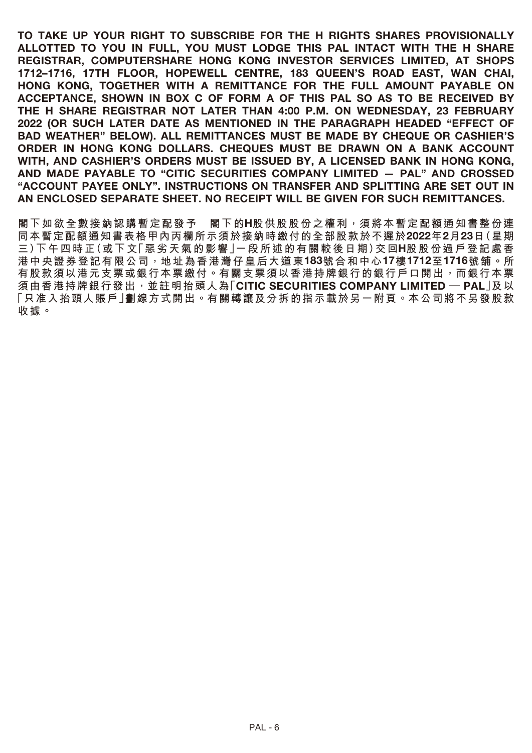**TO TAKE UP YOUR RIGHT TO SUBSCRIBE FOR THE H RIGHTS SHARES PROVISIONALLY ALLOTTED TO YOU IN FULL, YOU MUST LODGE THIS PAL INTACT WITH THE H SHARE REGISTRAR, COMPUTERSHARE HONG KONG INVESTOR SERVICES LIMITED, AT SHOPS 1712–1716, 17TH FLOOR, HOPEWELL CENTRE, 183 QUEEN'S ROAD EAST, WAN CHAI, HONG KONG, TOGETHER WITH A REMITTANCE FOR THE FULL AMOUNT PAYABLE ON ACCEPTANCE, SHOWN IN BOX C OF FORM A OF THIS PAL SO AS TO BE RECEIVED BY THE H SHARE REGISTRAR NOT LATER THAN 4:00 P.M. ON WEDNESDAY, 23 FEBRUARY 2022 (OR SUCH LATER DATE AS MENTIONED IN THE PARAGRAPH HEADED "EFFECT OF BAD WEATHER" BELOW). ALL REMITTANCES MUST BE MADE BY CHEQUE OR CASHIER'S ORDER IN HONG KONG DOLLARS. CHEQUES MUST BE DRAWN ON A BANK ACCOUNT WITH, AND CASHIER'S ORDERS MUST BE ISSUED BY, A LICENSED BANK IN HONG KONG, AND MADE PAYABLE TO "CITIC SECURITIES COMPANY LIMITED — PAL" AND CROSSED "ACCOUNT PAYEE ONLY". INSTRUCTIONS ON TRANSFER AND SPLITTING ARE SET OUT IN AN ENCLOSED SEPARATE SHEET. NO RECEIPT WILL BE GIVEN FOR SUCH REMITTANCES.**

**閣下如欲全數接納認購暫定配發予 閣下的H股供股股份之權利,須將本暫定配額通知書整份連 同本暫定配額通知書表格甲內丙欄所示須於接納時繳付的全部股款於不遲於2022年2月23日(星期 三)下午四時正(或下文「惡劣天氣的影響」一段所述的有關較後日期)交回H股股份過戶登記處香 港中央證券登記有限公司,地址為香港灣仔皇后大道東183號合和中心17樓1712至1716號舖。所 有股款須以港元支票或銀行本票繳付。有關支票須以香港持牌銀行的銀行戶口開出,而銀行本票 須由香港持牌銀行發出,並註明抬頭人為「CITIC SECURITIES COMPANY LIMITED — PAL」及以 「只准入抬頭人賬戶」劃線方式開出。有關轉讓及分拆的指示載於另一附頁。本公司將不另發股款 收據。**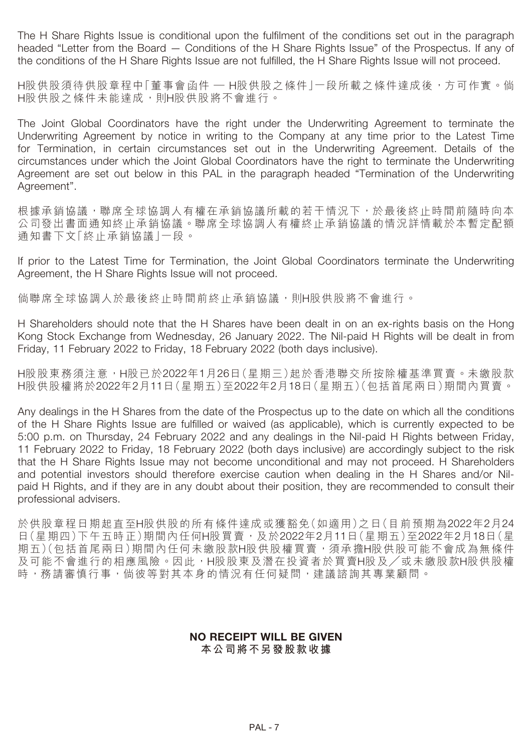The H Share Rights Issue is conditional upon the fulfilment of the conditions set out in the paragraph headed "Letter from the Board — Conditions of the H Share Rights Issue" of the Prospectus. If any of the conditions of the H Share Rights Issue are not fulfilled, the H Share Rights Issue will not proceed.

H股供股須待供股章程中「董事會函件 — H股供股之條件」一段所載之條件達成後,方可作實。倘 H股供股之條件未能達成,則H股供股將不會進行。

The Joint Global Coordinators have the right under the Underwriting Agreement to terminate the Underwriting Agreement by notice in writing to the Company at any time prior to the Latest Time for Termination, in certain circumstances set out in the Underwriting Agreement. Details of the circumstances under which the Joint Global Coordinators have the right to terminate the Underwriting Agreement are set out below in this PAL in the paragraph headed "Termination of the Underwriting Agreement".

根據承銷協議,聯席全球協調人有權在承銷協議所載的若干情況下,於最後終止時間前隨時向本 公司發出書面通知終止承銷協議。聯席全球協調人有權終止承銷協議的情況詳情載於本暫定配額 通知書下文「終止承銷協議」一段。

If prior to the Latest Time for Termination, the Joint Global Coordinators terminate the Underwriting Agreement, the H Share Rights Issue will not proceed.

倘聯席全球協調人於最後終止時間前終止承銷協議,則H股供股將不會進行。

H Shareholders should note that the H Shares have been dealt in on an ex-rights basis on the Hong Kong Stock Exchange from Wednesday, 26 January 2022. The Nil-paid H Rights will be dealt in from Friday, 11 February 2022 to Friday, 18 February 2022 (both days inclusive).

H股股東務須注意,H股已於2022年1月26日(星期三)起於香港聯交所按除權基準買賣。未繳股款 H股供股權將於2022年2月11日(星期五)至2022年2月18日(星期五)(包括首尾兩日)期間內買賣。

Any dealings in the H Shares from the date of the Prospectus up to the date on which all the conditions of the H Share Rights Issue are fulfilled or waived (as applicable), which is currently expected to be 5:00 p.m. on Thursday, 24 February 2022 and any dealings in the Nil-paid H Rights between Friday, 11 February 2022 to Friday, 18 February 2022 (both days inclusive) are accordingly subject to the risk that the H Share Rights Issue may not become unconditional and may not proceed. H Shareholders and potential investors should therefore exercise caution when dealing in the H Shares and/or Nilpaid H Rights, and if they are in any doubt about their position, they are recommended to consult their professional advisers.

於供股章程日期起直至H股供股的所有條件達成或獲豁免(如適用)之日(目前預期為2022年2月24 日(星期四)下午五時正)期間內任何H股買賣,及於2022年2月11日(星期五)至2022年2月18日(星 期五)(包括首尾兩日)期間內任何未繳股款H股供股權買賣,須承擔H股供股可能不會成為無條件 及可能不會進行的相應風險。因此,H股股東及潛在投資者於買賣H股及╱或未繳股款H股供股權 時,務請審慎行事,倘彼等對其本身的情況有任何疑問,建議諮詢其專業顧問。

#### **NO RECEIPT WILL BE GIVEN 本公司將不另發股款收據**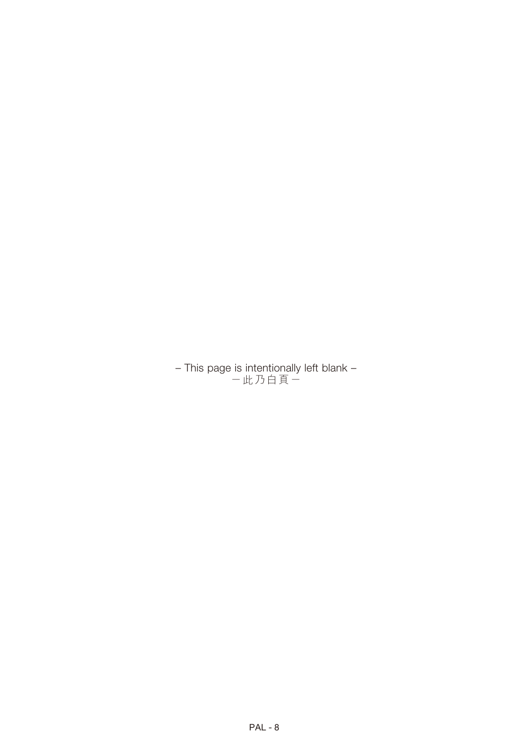– This page is intentionally left blank – -此乃白頁-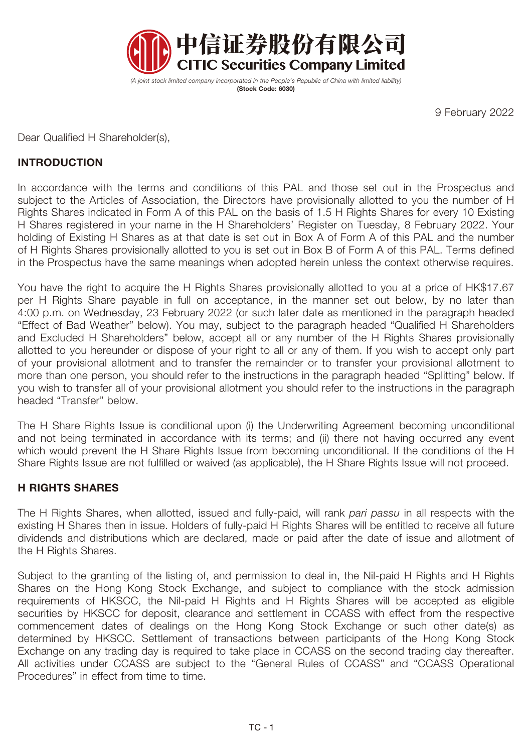

*(A joint stock limited company incorporated in the People's Republic of China with limited liability)*  **(Stock Code: 6030)**

9 February 2022

Dear Qualified H Shareholder(s),

# **INTRODUCTION**

In accordance with the terms and conditions of this PAL and those set out in the Prospectus and subject to the Articles of Association, the Directors have provisionally allotted to you the number of H Rights Shares indicated in Form A of this PAL on the basis of 1.5 H Rights Shares for every 10 Existing H Shares registered in your name in the H Shareholders' Register on Tuesday, 8 February 2022. Your holding of Existing H Shares as at that date is set out in Box A of Form A of this PAL and the number of H Rights Shares provisionally allotted to you is set out in Box B of Form A of this PAL. Terms defined in the Prospectus have the same meanings when adopted herein unless the context otherwise requires.

You have the right to acquire the H Rights Shares provisionally allotted to you at a price of HK\$17.67 per H Rights Share payable in full on acceptance, in the manner set out below, by no later than 4:00 p.m. on Wednesday, 23 February 2022 (or such later date as mentioned in the paragraph headed "Effect of Bad Weather" below). You may, subject to the paragraph headed "Qualified H Shareholders and Excluded H Shareholders" below, accept all or any number of the H Rights Shares provisionally allotted to you hereunder or dispose of your right to all or any of them. If you wish to accept only part of your provisional allotment and to transfer the remainder or to transfer your provisional allotment to more than one person, you should refer to the instructions in the paragraph headed "Splitting" below. If you wish to transfer all of your provisional allotment you should refer to the instructions in the paragraph headed "Transfer" below.

The H Share Rights Issue is conditional upon (i) the Underwriting Agreement becoming unconditional and not being terminated in accordance with its terms; and (ii) there not having occurred any event which would prevent the H Share Rights Issue from becoming unconditional. If the conditions of the H Share Rights Issue are not fulfilled or waived (as applicable), the H Share Rights Issue will not proceed.

# **H RIGHTS SHARES**

The H Rights Shares, when allotted, issued and fully-paid, will rank *pari passu* in all respects with the existing H Shares then in issue. Holders of fully-paid H Rights Shares will be entitled to receive all future dividends and distributions which are declared, made or paid after the date of issue and allotment of the H Rights Shares.

Subject to the granting of the listing of, and permission to deal in, the Nil-paid H Rights and H Rights Shares on the Hong Kong Stock Exchange, and subject to compliance with the stock admission requirements of HKSCC, the Nil-paid H Rights and H Rights Shares will be accepted as eligible securities by HKSCC for deposit, clearance and settlement in CCASS with effect from the respective commencement dates of dealings on the Hong Kong Stock Exchange or such other date(s) as determined by HKSCC. Settlement of transactions between participants of the Hong Kong Stock Exchange on any trading day is required to take place in CCASS on the second trading day thereafter. All activities under CCASS are subject to the "General Rules of CCASS" and "CCASS Operational Procedures" in effect from time to time.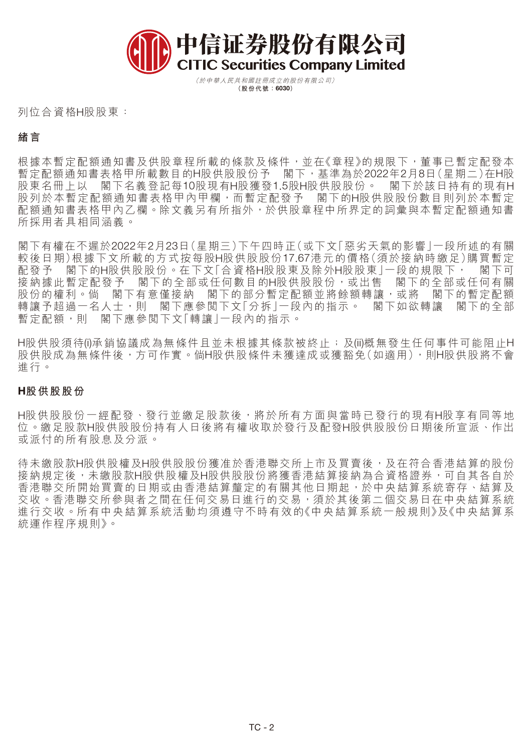

(於中華人民共和國註冊成立的股份有限公司) **(股份代號:6030)**

列位合資格H股股東:

### **緒言**

根據本暫定配額通知書及供股章程所載的條款及條件,並在《章程》的規限下,董事已暫定配發本 暫定配額通知書表格甲所載數目的H股供股股份予 閣下,基準為於2022年2月8日(星期二)在H股 股東名冊上以 閣下名義登記每10股現有H股獲發1.5股H股供股股份。 閣下於該日持有的現有H 股列於本暫定配額通知書表格甲內甲欄,而暫定配發予 閣下的H股供股股份數目則列於本暫定 配額通知書表格甲內乙欄。除文義另有所指外,於供股章程中所界定的詞彙與本暫定配額通知書 所採用者具相同涵義。

閣下有權在不遲於2022年2月23日(星期三)下午四時正(或下文「惡劣天氣的影響」一段所述的有關 較後日期)根據下文所載的方式按每股H股供股股份17.67港元的價格(須於接納時繳足)購買暫定 配發予 閣下的H股供股股份。在下文「合資格H股股東及除外H股股東」一段的規限下, 閣下可<br>接納據此暫定配發予 閣下的全部或任何數目的H股供股股份,或出售 閣下的全部或任何有關 閣下的全部或任何數目的H股供股股份,或出售 閣下的全部或任何有關<br>有意僅接納 閣下的部分暫定配額並將餘額轉讓,或將 閣下的暫定配額 股份的權利。倘 閣下有意僅接納 閣下的部分暫定配額並將餘額轉讓,或將 轉讓予超過一名人士,則 閣下應參閱下文「分拆」一段內的指示。 閣下如欲轉讓 閣下的全部 暫定配額,則 閣下應參閱下文「轉讓」一段內的指示。

H股供股須待(i)承銷協議成為無條件且並未根據其條款被終止;及(ii)概無發生任何事件可能阻止H 股供股成為無條件後,方可作實。倘H股供股條件未獲達成或獲豁免(如適用),則H股供股將不會 進行。

#### **H股供股股份**

H股供股股份一經配發、發行並繳足股款後,將於所有方面與當時已發行的現有H股享有同等地 位。繳足股款H股供股股份持有人日後將有權收取於發行及配發H股供股股份日期後所宣派、作出 或派付的所有股息及分派。

待未繳股款H股供股權及H股供股份獲准於香港聯交所上市及買賣後,及在符合香港結算的股份 接納規定後,未繳股款H股供股權及H股供股股份將獲香港結算接納為合資格證券,可自其各自於 香港聯交所開始買賣的日期或由香港結算釐定的有關其他日期起,於中央結算系統寄存、結算及 交收。香港聯交所參與者之間在任何交易日進行的交易,須於其後第二個交易日在中央結算系統 進行交收。所有中央結算系統活動均須遵守不時有效的《中央結算系統一般規則》及《中央結算系 統運作程序規則》。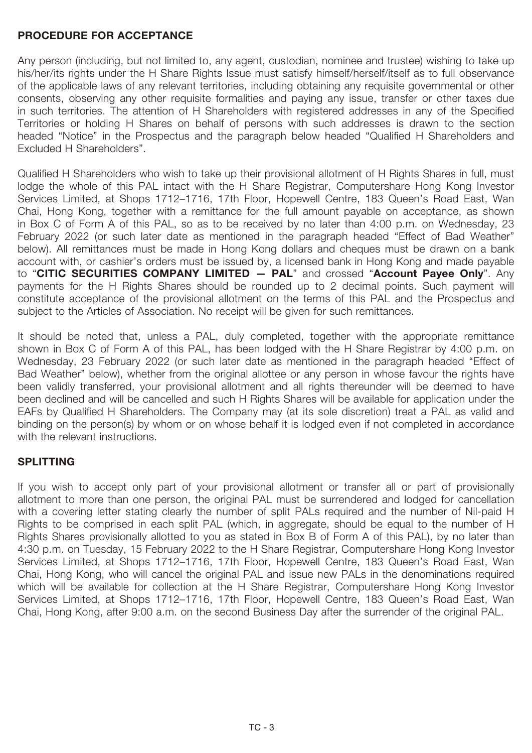## **PROCEDURE FOR ACCEPTANCE**

Any person (including, but not limited to, any agent, custodian, nominee and trustee) wishing to take up his/her/its rights under the H Share Rights Issue must satisfy himself/herself/itself as to full observance of the applicable laws of any relevant territories, including obtaining any requisite governmental or other consents, observing any other requisite formalities and paying any issue, transfer or other taxes due in such territories. The attention of H Shareholders with registered addresses in any of the Specified Territories or holding H Shares on behalf of persons with such addresses is drawn to the section headed "Notice" in the Prospectus and the paragraph below headed "Qualified H Shareholders and Excluded H Shareholders".

Qualified H Shareholders who wish to take up their provisional allotment of H Rights Shares in full, must lodge the whole of this PAL intact with the H Share Registrar, Computershare Hong Kong Investor Services Limited, at Shops 1712–1716, 17th Floor, Hopewell Centre, 183 Queen's Road East, Wan Chai, Hong Kong, together with a remittance for the full amount payable on acceptance, as shown in Box C of Form A of this PAL, so as to be received by no later than 4:00 p.m. on Wednesday, 23 February 2022 (or such later date as mentioned in the paragraph headed "Effect of Bad Weather" below). All remittances must be made in Hong Kong dollars and cheques must be drawn on a bank account with, or cashier's orders must be issued by, a licensed bank in Hong Kong and made payable to "**CITIC SECURITIES COMPANY LIMITED — PAL**" and crossed "**Account Payee Only**". Any payments for the H Rights Shares should be rounded up to 2 decimal points. Such payment will constitute acceptance of the provisional allotment on the terms of this PAL and the Prospectus and subject to the Articles of Association. No receipt will be given for such remittances.

It should be noted that, unless a PAL, duly completed, together with the appropriate remittance shown in Box C of Form A of this PAL, has been lodged with the H Share Registrar by 4:00 p.m. on Wednesday, 23 February 2022 (or such later date as mentioned in the paragraph headed "Effect of Bad Weather" below), whether from the original allottee or any person in whose favour the rights have been validly transferred, your provisional allotment and all rights thereunder will be deemed to have been declined and will be cancelled and such H Rights Shares will be available for application under the EAFs by Qualified H Shareholders. The Company may (at its sole discretion) treat a PAL as valid and binding on the person(s) by whom or on whose behalf it is lodged even if not completed in accordance with the relevant instructions.

# **SPLITTING**

If you wish to accept only part of your provisional allotment or transfer all or part of provisionally allotment to more than one person, the original PAL must be surrendered and lodged for cancellation with a covering letter stating clearly the number of split PALs required and the number of Nil-paid H Rights to be comprised in each split PAL (which, in aggregate, should be equal to the number of H Rights Shares provisionally allotted to you as stated in Box B of Form A of this PAL), by no later than 4:30 p.m. on Tuesday, 15 February 2022 to the H Share Registrar, Computershare Hong Kong Investor Services Limited, at Shops 1712–1716, 17th Floor, Hopewell Centre, 183 Queen's Road East, Wan Chai, Hong Kong, who will cancel the original PAL and issue new PALs in the denominations required which will be available for collection at the H Share Registrar, Computershare Hong Kong Investor Services Limited, at Shops 1712–1716, 17th Floor, Hopewell Centre, 183 Queen's Road East, Wan Chai, Hong Kong, after 9:00 a.m. on the second Business Day after the surrender of the original PAL.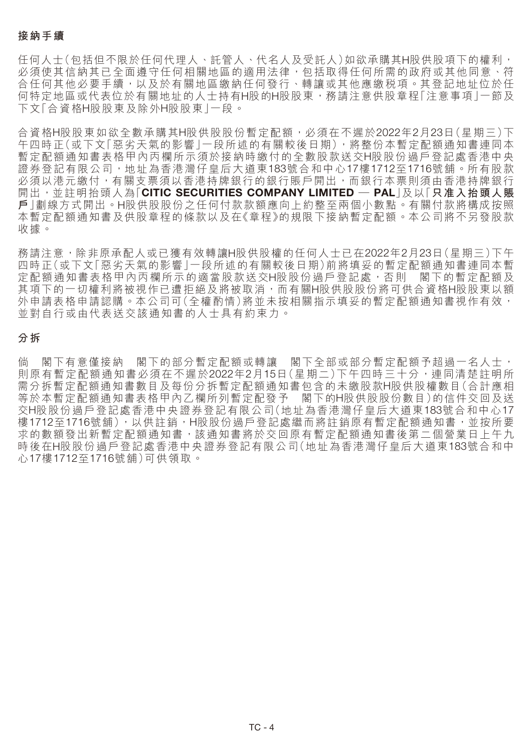### **接納手續**

任何人士(包括但不限於任何代理人、託管人、代名人及受託人)如欲承購其H股供股項下的權利, 必須使其信納其已全面遵守任何相關地區的適用法律,包括取得任何所需的政府或其他同意、符 合任何其他必要手續,以及於有關地區繳納任何發行、轉讓或其他應繳税項。其登記地址位於任 何特定地區或代表位於有關地址的人士持有H股的H股股東,務請注意供股章程「注意事項」一節及 下文「合資格H股股東及除外H股股東」一段。

合資格H股股東如欲全數承購其H股供股股份暫定配額,必須在不遲於2022年2月23日(星期三)下 午四時正(或下文「惡劣天氣的影響」一段所述的有關較後日期),將整份本暫定配額通知書連同本 暫定配額通知書表格甲內丙欄所示須於接納時繳付的全數股款送交H股股份過戶登記處香港中央 證券登記有限公司,地址為香港灣仔皇后大道東183號合和中心17樓1712至1716號舖。所有股款 必須以港元繳付,有關支票須以香港持牌銀行的銀行賬戶開出,而銀行本票則須由香港持牌銀行 開出,並註明抬頭人為「**CITIC SECURITIES COMPANY LIMITED — PAL**」及以「**只准入抬頭人賬 戶**」劃線方式開出。H股供股股份之任何付款款額應向上約整至兩個小數點。有關付款將構成按照 本暫定配額通知書及供股章程的條款以及在《章程》的規限下接納暫定配額。本公司將不另發股款 收據。

務請注意,除非原承配人或已獲有效轉讓H股供股權的任何人士已在2022年2月23日(星期三)下午 四時正(或下文「惡劣天氣的影響」一段所述的有關較後日期)前將填妥的暫定配額通知書連同本暫 定配額通知書表格甲內丙欄所示的適當股款送交H股股份過戶登記處,否則 閣下的暫定配額及 其項下的一切權利將被視作已遭拒絕及將被取消,而有關H股供股股份將可供合資格H股股東以額 外申請表格申請認購。本公司可(全權酌情)將並未按相關指示填妥的暫定配額通知書視作有效, 並對自行或由代表送交該通知書的人士具有約束力。

#### **分拆**

倘 閣下有意僅接納 閣下的部分暫定配額或轉讓 閣下全部或部分暫定配額予超過一名人士, 則原有暫定配額通知書必須在不遲於2022年2月15日(星期二)下午四時三十分,連同清楚註明所 需分拆暫定配額通知書數目及每份分拆暫定配額通知書包含的未繳股款H股供股權數目(合計應相<br>等於本暫定配額通知書表格甲內乙欄所列暫定配發予 閣下的H股供股份數目)的信件交回及送 等於本暫定配額通知書表格甲內乙欄所列暫定配發予 交H股股份過戶登記處香港中央證券登記有限公司(地址為香港灣仔皇后大道東183號合和中心17 樓1712至1716號舖),以供註銷,H股股份過戶登記處繼而將註銷原有暫定配額通知書,並按所要 求的數額發出新暫定配額通知書,該通知書將於交回原有暫定配額通知書後第二個營業日上午九 時後在H股股份過戶登記處香港中央證券登記有限公司(地址為香港灣仔皇后大道東183號合和中 心17樓1712至1716號舖)可供領取。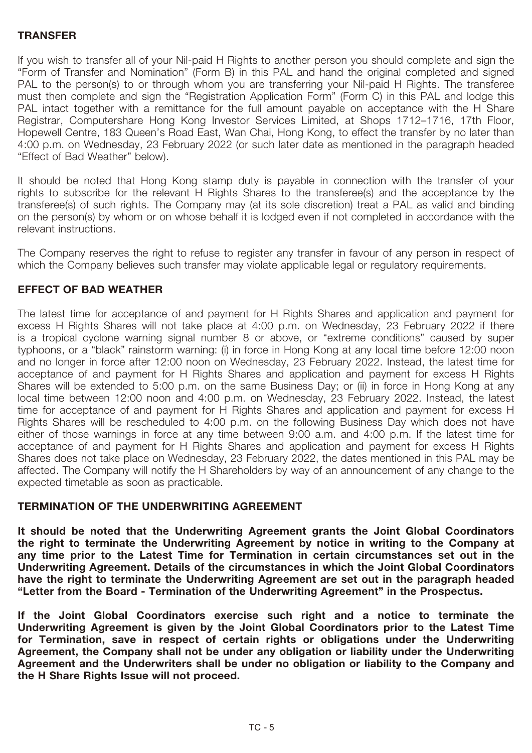### **TRANSFER**

If you wish to transfer all of your Nil-paid H Rights to another person you should complete and sign the "Form of Transfer and Nomination" (Form B) in this PAL and hand the original completed and signed PAL to the person(s) to or through whom you are transferring your Nil-paid H Rights. The transferee must then complete and sign the "Registration Application Form" (Form C) in this PAL and lodge this PAL intact together with a remittance for the full amount payable on acceptance with the H Share Registrar, Computershare Hong Kong Investor Services Limited, at Shops 1712–1716, 17th Floor, Hopewell Centre, 183 Queen's Road East, Wan Chai, Hong Kong, to effect the transfer by no later than 4:00 p.m. on Wednesday, 23 February 2022 (or such later date as mentioned in the paragraph headed "Effect of Bad Weather" below).

It should be noted that Hong Kong stamp duty is payable in connection with the transfer of your rights to subscribe for the relevant H Rights Shares to the transferee(s) and the acceptance by the transferee(s) of such rights. The Company may (at its sole discretion) treat a PAL as valid and binding on the person(s) by whom or on whose behalf it is lodged even if not completed in accordance with the relevant instructions.

The Company reserves the right to refuse to register any transfer in favour of any person in respect of which the Company believes such transfer may violate applicable legal or regulatory requirements.

### **EFFECT OF BAD WEATHER**

The latest time for acceptance of and payment for H Rights Shares and application and payment for excess H Rights Shares will not take place at 4:00 p.m. on Wednesday, 23 February 2022 if there is a tropical cyclone warning signal number 8 or above, or "extreme conditions" caused by super typhoons, or a "black" rainstorm warning: (i) in force in Hong Kong at any local time before 12:00 noon and no longer in force after 12:00 noon on Wednesday, 23 February 2022. Instead, the latest time for acceptance of and payment for H Rights Shares and application and payment for excess H Rights Shares will be extended to 5:00 p.m. on the same Business Day; or (ii) in force in Hong Kong at any local time between 12:00 noon and 4:00 p.m. on Wednesday, 23 February 2022. Instead, the latest time for acceptance of and payment for H Rights Shares and application and payment for excess H Rights Shares will be rescheduled to 4:00 p.m. on the following Business Day which does not have either of those warnings in force at any time between 9:00 a.m. and 4:00 p.m. If the latest time for acceptance of and payment for H Rights Shares and application and payment for excess H Rights Shares does not take place on Wednesday, 23 February 2022, the dates mentioned in this PAL may be affected. The Company will notify the H Shareholders by way of an announcement of any change to the expected timetable as soon as practicable.

### **TERMINATION OF THE UNDERWRITING AGREEMENT**

**It should be noted that the Underwriting Agreement grants the Joint Global Coordinators the right to terminate the Underwriting Agreement by notice in writing to the Company at any time prior to the Latest Time for Termination in certain circumstances set out in the Underwriting Agreement. Details of the circumstances in which the Joint Global Coordinators have the right to terminate the Underwriting Agreement are set out in the paragraph headed "Letter from the Board - Termination of the Underwriting Agreement" in the Prospectus.**

**If the Joint Global Coordinators exercise such right and a notice to terminate the Underwriting Agreement is given by the Joint Global Coordinators prior to the Latest Time for Termination, save in respect of certain rights or obligations under the Underwriting Agreement, the Company shall not be under any obligation or liability under the Underwriting Agreement and the Underwriters shall be under no obligation or liability to the Company and the H Share Rights Issue will not proceed.**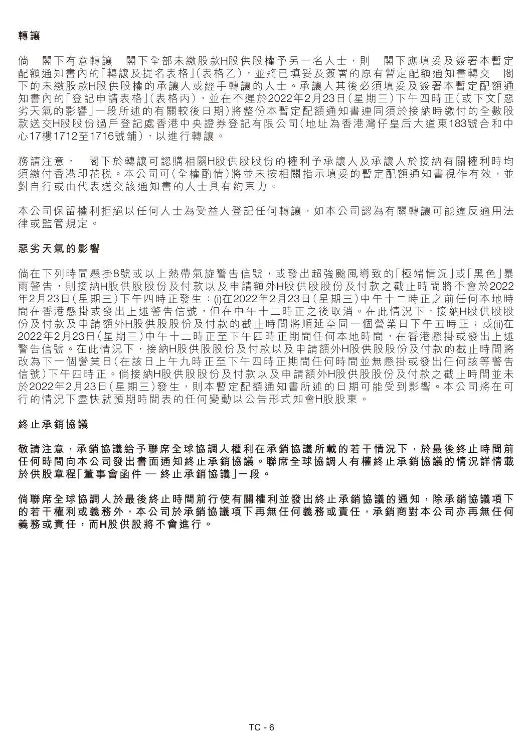倘 閣下有意轉讓 閣下全部未繳股款H股供股權予另一名人士,則 閣下應填妥及簽署本暫定 配額通知書內的「轉讓及提名表格」(表格乙),並將已填妥及簽署的原有暫定配額通知書轉交 下的未繳股款H股供股權的承讓人或經手轉讓的人士。承讓人其後必須填妥及簽署本暫定配額通 知書內的「登記申請表格」(表格丙),並在不遲於2022年2月23日(星期三)下午四時正(或下文「惡 劣天氣的影響」一段所述的有關較後日期)將整份本暫定配額通知書連同須於接納時繳付的全數股 款送交H股股份過戶登記處香港中央證券登記有限公司(地址為香港灣仔皇后大道東183號合和中 心17樓1712至1716號舖),以進行轉讓。

務請注意, 閣下於轉讓可認購相關H股供股股份的權利予承讓人及承讓人於接納有關權利時均 須繳付香港印花税。本公司可(全權酌情)將並未按相關指示填妥的暫定配額通知書視作有效,並 對自行或由代表送交該通知書的人士具有約束力。

本公司保留權利拒絕以任何人主為受益人登記任何轉讓,如本公司認為有關轉讓可能違反適用法 律或監管規定。

#### **惡劣天氣的影響**

倘在下列時間懸掛8號或以上熱帶氣旋警告信號,或發出超強颱風導致的「極端情況」或「黑色」暴 雨警告,則接納H股供股份及付款以及申請額外H股供股股份及付款之截止時間將不會於2022 年2月23日(星期三)下午四時正發生:(i)在2022年2月23日(星期三)中午十二時正之前任何本地時 間在香港懸掛或發出上述警告信號,但在中午十二時正之後取消。在此情況下,接納H股供股股 份及付款及申請額外H股供股份及付款的截止時間將順延至同一個營業日下午五時正;或(ii)在 2022年2月23日(星期三)中午十二時正至下午四時正期間任何本地時間,在香港懸掛或發出上述 警告信號。在此情況下,接納H股供股份及付款以及申請額外H股供股股份及付款的截止時間將 改為下一個營業日(在該日上午九時正至下午四時正期間任何時間並無懸掛或發出任何該等警告 信號)下午四時正。倘接納H股供股股份及付款以及申請額外H股供股股份及付款之截止時間並未 於2022年2月23日(星期三)發生,則本暫定配額通知書所述的日期可能受到影響。本公司將在可 行的情況下盡快就預期時間表的任何變動以公告形式知會H股股東。

#### **終止承銷協議**

**敬請注意,承銷協議給予聯席全球協調人權利在承銷協議所載的若干情況下,於最後終止時間前 任何時間向本公司發出書面通知終止承銷協議。聯席全球協調人有權終止承銷協議的情況詳情載 於供股章程「董事會函件 — 終止承銷協議」一段。**

**倘聯席全球協調人於最後終止時間前行使有關權利並發出終止承銷協議的通知,除承銷協議項下 的若干權利或義務外,本公司於承銷協議項下再無任何義務或責任,承銷商對本公司亦再無任何 義務或責任,而H股供股將不會進行。**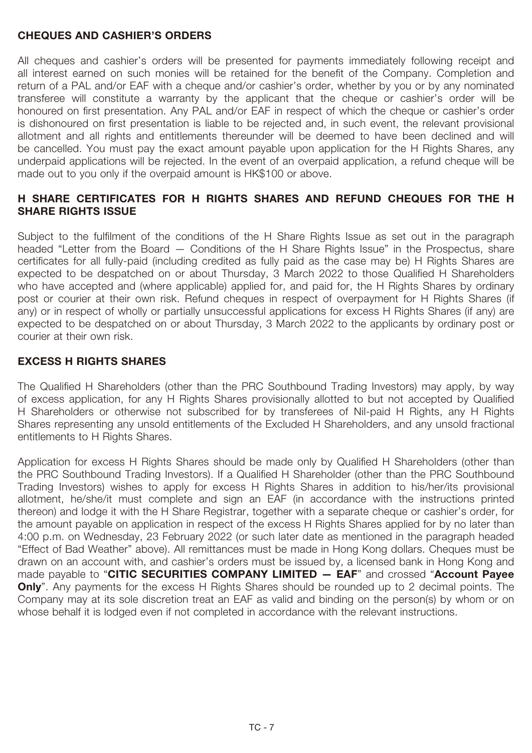## **CHEQUES AND CASHIER'S ORDERS**

All cheques and cashier's orders will be presented for payments immediately following receipt and all interest earned on such monies will be retained for the benefit of the Company. Completion and return of a PAL and/or EAF with a cheque and/or cashier's order, whether by you or by any nominated transferee will constitute a warranty by the applicant that the cheque or cashier's order will be honoured on first presentation. Any PAL and/or EAF in respect of which the cheque or cashier's order is dishonoured on first presentation is liable to be rejected and, in such event, the relevant provisional allotment and all rights and entitlements thereunder will be deemed to have been declined and will be cancelled. You must pay the exact amount payable upon application for the H Rights Shares, any underpaid applications will be rejected. In the event of an overpaid application, a refund cheque will be made out to you only if the overpaid amount is HK\$100 or above.

# **H SHARE CERTIFICATES FOR H RIGHTS SHARES AND REFUND CHEQUES FOR THE H SHARE RIGHTS ISSUE**

Subject to the fulfilment of the conditions of the H Share Rights Issue as set out in the paragraph headed "Letter from the Board — Conditions of the H Share Rights Issue" in the Prospectus, share certificates for all fully-paid (including credited as fully paid as the case may be) H Rights Shares are expected to be despatched on or about Thursday, 3 March 2022 to those Qualified H Shareholders who have accepted and (where applicable) applied for, and paid for, the H Rights Shares by ordinary post or courier at their own risk. Refund cheques in respect of overpayment for H Rights Shares (if any) or in respect of wholly or partially unsuccessful applications for excess H Rights Shares (if any) are expected to be despatched on or about Thursday, 3 March 2022 to the applicants by ordinary post or courier at their own risk.

# **EXCESS H RIGHTS SHARES**

The Qualified H Shareholders (other than the PRC Southbound Trading Investors) may apply, by way of excess application, for any H Rights Shares provisionally allotted to but not accepted by Qualified H Shareholders or otherwise not subscribed for by transferees of Nil-paid H Rights, any H Rights Shares representing any unsold entitlements of the Excluded H Shareholders, and any unsold fractional entitlements to H Rights Shares.

Application for excess H Rights Shares should be made only by Qualified H Shareholders (other than the PRC Southbound Trading Investors). If a Qualified H Shareholder (other than the PRC Southbound Trading Investors) wishes to apply for excess H Rights Shares in addition to his/her/its provisional allotment, he/she/it must complete and sign an EAF (in accordance with the instructions printed thereon) and lodge it with the H Share Registrar, together with a separate cheque or cashier's order, for the amount payable on application in respect of the excess H Rights Shares applied for by no later than 4:00 p.m. on Wednesday, 23 February 2022 (or such later date as mentioned in the paragraph headed "Effect of Bad Weather" above). All remittances must be made in Hong Kong dollars. Cheques must be drawn on an account with, and cashier's orders must be issued by, a licensed bank in Hong Kong and made payable to "**CITIC SECURITIES COMPANY LIMITED — EAF**" and crossed "**Account Payee Only**". Any payments for the excess H Rights Shares should be rounded up to 2 decimal points. The Company may at its sole discretion treat an EAF as valid and binding on the person(s) by whom or on whose behalf it is lodged even if not completed in accordance with the relevant instructions.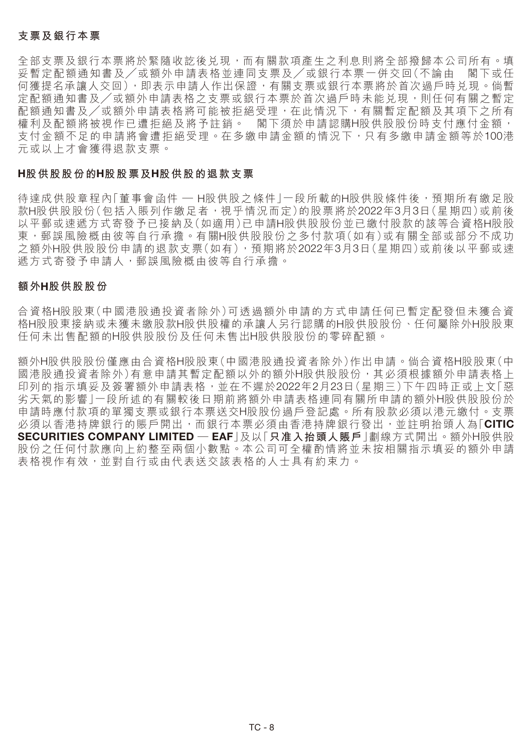### **支票及銀行本票**

全部支票及銀行本票將於緊隨收訖後兑現,而有關款項產生之利息則將全部撥歸本公司所有。填 妥暫定配額通知書及/或額外申請表格並連同支票及/或銀行本票一併交回(不論由 閣下或任 何獲提名承讓人交回),即表示申請人作出保證,有關支票或銀行本票將於首次過戶時兌現。倘暫 定配額通知書及/或額外申請表格之支票或銀行本票於首次過戶時未能兑現,則任何有關之暫定 配額通知書及/或額外申請表格將可能被拒絕受理,在此情況下,有關暫定配額及其項下之所有 權利及配額將被視作已遭拒絕及將予註銷。 閣下須於申請認購H股供股股份時支付應付金額, 支付金額不足的申請將會遭拒絕受理。在多繳申請金額的情況下,只有多繳申請金額等於100港 元或以上才會獲得退款支票。

#### **H股供股股份的H股股票及H股供股的退款支票**

待達成供股章程內「董事會函件 — H股供股之條件 | 一段所載的H股供股條件後,預期所有繳足股 款H股供股股份(包括入賬列作繳足者,視乎情況而定)的股票將於2022年3月3日(星期四)或前後 以平郵或速遞方式寄發予已接納及(如適用)已申請H股供股股份並已繳付股款的該等合資格H股股 東,郵誤風險概由彼等自行承擔。有關H股供股股份之多付款項(如有)或有關全部或部分不成功 之額外H股供股股份申請的退款支票(如有),預期將於2022年3月3日(星期四)或前後以平郵或速 遞方式寄發予申請人,郵誤風險概由彼等自行承擔。

#### **額外H股供股股份**

合資格H股股東(中國港股通投資者除外)可透過額外申請的方式申請任何已暫定配發但未獲合資 格H股股東接納或未獲未繳股款H股供股權的承讓人另行認購的H股供股股份、任何屬除外H股股東 任何未出售配額的H股供股股份及任何未售出H股供股股份的零碎配額。

額外H股供股股份僅應由合資格H股股東(中國港股通投資者除外)作出申請。倘合資格H股股東(中 國港股通投資者除外)有意申請其暫定配額以外的額外H股供股股份,其必須根據額外申請表格上 印列的指示填妥及簽署額外申請表格,並在不遲於2022年2月23日(星期三)下午四時正或上文「惡 劣天氣的影響」一段所述的有關較後日期前將額外申請表格連同有關所申請的額外H股供股股份於 申請時應付款項的單獨支票或銀行本票送交H股股份過戶登記處。所有股款必須以港元繳付。支票 必須以香港持牌銀行的賬戶開出,而銀行本票必須由香港持牌銀行發出,並註明抬頭人為「**CITIC SECURITIES COMPANY LIMITED — EAF**」及以「**只准入抬頭人賬戶**」劃線方式開出。額外H股供股 股份之任何付款應向上約整至兩個小數點。本公司可全權酌情將並未按相關指示填妥的額外申請 表格視作有效,並對自行或由代表送交該表格的人士具有約束力。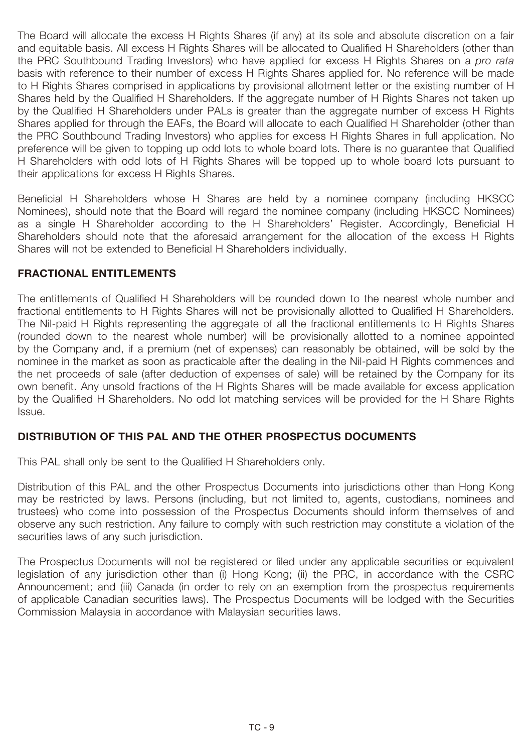The Board will allocate the excess H Rights Shares (if any) at its sole and absolute discretion on a fair and equitable basis. All excess H Rights Shares will be allocated to Qualified H Shareholders (other than the PRC Southbound Trading Investors) who have applied for excess H Rights Shares on a *pro rata* basis with reference to their number of excess H Rights Shares applied for. No reference will be made to H Rights Shares comprised in applications by provisional allotment letter or the existing number of H Shares held by the Qualified H Shareholders. If the aggregate number of H Rights Shares not taken up by the Qualified H Shareholders under PALs is greater than the aggregate number of excess H Rights Shares applied for through the EAFs, the Board will allocate to each Qualified H Shareholder (other than the PRC Southbound Trading Investors) who applies for excess H Rights Shares in full application. No preference will be given to topping up odd lots to whole board lots. There is no guarantee that Qualified H Shareholders with odd lots of H Rights Shares will be topped up to whole board lots pursuant to their applications for excess H Rights Shares.

Beneficial H Shareholders whose H Shares are held by a nominee company (including HKSCC Nominees), should note that the Board will regard the nominee company (including HKSCC Nominees) as a single H Shareholder according to the H Shareholders' Register. Accordingly, Beneficial H Shareholders should note that the aforesaid arrangement for the allocation of the excess H Rights Shares will not be extended to Beneficial H Shareholders individually.

### **FRACTIONAL ENTITLEMENTS**

The entitlements of Qualified H Shareholders will be rounded down to the nearest whole number and fractional entitlements to H Rights Shares will not be provisionally allotted to Qualified H Shareholders. The Nil-paid H Rights representing the aggregate of all the fractional entitlements to H Rights Shares (rounded down to the nearest whole number) will be provisionally allotted to a nominee appointed by the Company and, if a premium (net of expenses) can reasonably be obtained, will be sold by the nominee in the market as soon as practicable after the dealing in the Nil-paid H Rights commences and the net proceeds of sale (after deduction of expenses of sale) will be retained by the Company for its own benefit. Any unsold fractions of the H Rights Shares will be made available for excess application by the Qualified H Shareholders. No odd lot matching services will be provided for the H Share Rights Issue.

# **DISTRIBUTION OF THIS PAL AND THE OTHER PROSPECTUS DOCUMENTS**

This PAL shall only be sent to the Qualified H Shareholders only.

Distribution of this PAL and the other Prospectus Documents into jurisdictions other than Hong Kong may be restricted by laws. Persons (including, but not limited to, agents, custodians, nominees and trustees) who come into possession of the Prospectus Documents should inform themselves of and observe any such restriction. Any failure to comply with such restriction may constitute a violation of the securities laws of any such jurisdiction.

The Prospectus Documents will not be registered or filed under any applicable securities or equivalent legislation of any jurisdiction other than (i) Hong Kong; (ii) the PRC, in accordance with the CSRC Announcement; and (iii) Canada (in order to rely on an exemption from the prospectus requirements of applicable Canadian securities laws). The Prospectus Documents will be lodged with the Securities Commission Malaysia in accordance with Malaysian securities laws.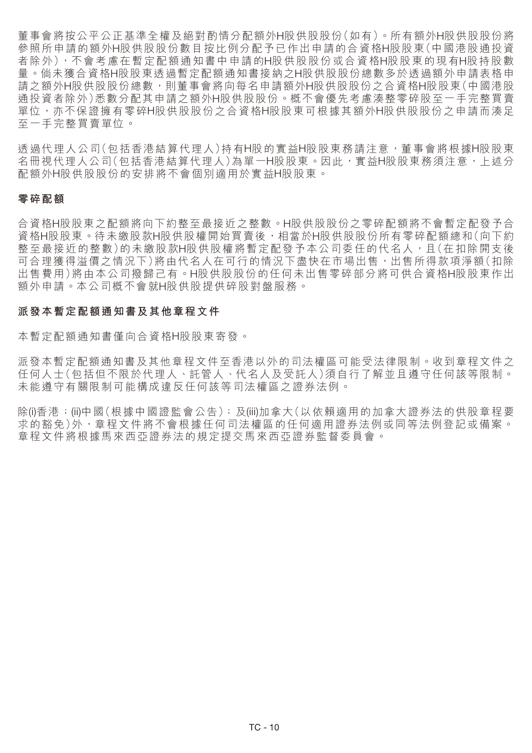董事會將按公平公正基準全權及絕對酌情分配額外H股供股股份(如有)。所有額外H股供股股份將 參照所申請的額外H股供股股份數目按比例分配予已作出申請的合資格H股股東(中國港股通投資 者除外),不會考慮在暫定配額通知書中申請的H股供股股份或合資格H股股東的現有H股持股數 量。倘未獲合資格H股股東透過暫定配額通知書接納之H股供股股份總數多於透過額外申請表格申 請之額外H股供股份總數,則董事會將向每名申請額外H股供股股份之合資格H股股東(中國港股 通投資者除外)悉數分配其申請之額外H股供股股份。概不會優先考慮湊整零碎股至一手完整買賣 軍位,亦不保證擁有零碎H股供股股分之合資格H股股東可根據其額外H股供股股份之申請而湊足 至一手完整買賣單位。

透過代理人公司(包括香港結算代理人)持有H股的實益H股股東務請注意,董事會將根據H股股東 名冊視代理人公司(包括香港結算代理人)為單一H股股東。因此,實益H股股東務須注意,上述分 配額外H股供股股份的安排將不會個別適用於實益H股股東。

#### **零碎配額**

合資格H股股東之配額將向下約整至最接近之整數。H股供股股份之零碎配額將不會暫定配發予合 資格H股股東。待未繳股款H股供股權開始買賣後,相當於H股供股股份所有零碎配額總和(向下約 整至最接近的整數)的未繳股款H股供股權將暫定配發予本公司委任的代名人,且(在扣除開支後 可合理獲得溢價之情況下)將由代名人在可行的情況下盡快在市場出售,出售所得款項淨額(扣除 出售費用)將由本公司撥歸己有。H股供股股份的任何未出售零碎部分將可供合資格H股股東作出 額外申請。本公司概不會就H股供股提供碎股對盤服務。

#### **派發本暫定配額通知書及其他章程文件**

本暫定配額通知書僅向合資格H股股東寄發。

派發本暫定配額通知書及其他章程文件至香港以外的司法權區可能受法律限制。收到章程文件之 任何人士(包括但不限於代理人、託管人、代名人及受託人)須自行了解並且遵守任何該等限制。 未能遵守有關限制可能構成違反任何該等司法權區之證券法例。

除(i)香港;(ii)中國(根據中國證監會公告);及(iii)加拿大(以依賴適用的加拿大證券法的供股章程要 求的豁免)外,章程文件將不會根據任何司法權區的任何適用證券法例或同等法例登記或備案。 章程文件將根據馬來西亞證券法的規定提交馬來西亞證券監督委員會。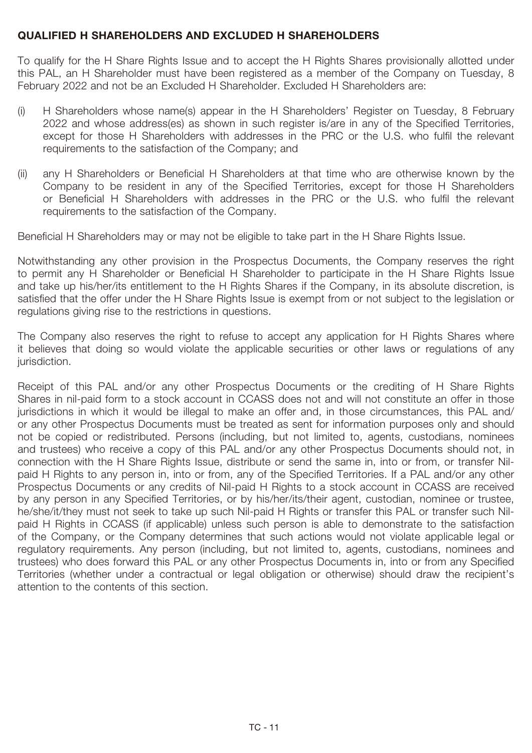## **QUALIFIED H SHAREHOLDERS AND EXCLUDED H SHAREHOLDERS**

To qualify for the H Share Rights Issue and to accept the H Rights Shares provisionally allotted under this PAL, an H Shareholder must have been registered as a member of the Company on Tuesday, 8 February 2022 and not be an Excluded H Shareholder. Excluded H Shareholders are:

- (i) H Shareholders whose name(s) appear in the H Shareholders' Register on Tuesday, 8 February 2022 and whose address(es) as shown in such register is/are in any of the Specified Territories, except for those H Shareholders with addresses in the PRC or the U.S. who fulfil the relevant requirements to the satisfaction of the Company; and
- (ii) any H Shareholders or Beneficial H Shareholders at that time who are otherwise known by the Company to be resident in any of the Specified Territories, except for those H Shareholders or Beneficial H Shareholders with addresses in the PRC or the U.S. who fulfil the relevant requirements to the satisfaction of the Company.

Beneficial H Shareholders may or may not be eligible to take part in the H Share Rights Issue.

Notwithstanding any other provision in the Prospectus Documents, the Company reserves the right to permit any H Shareholder or Beneficial H Shareholder to participate in the H Share Rights Issue and take up his/her/its entitlement to the H Rights Shares if the Company, in its absolute discretion, is satisfied that the offer under the H Share Rights Issue is exempt from or not subject to the legislation or regulations giving rise to the restrictions in questions.

The Company also reserves the right to refuse to accept any application for H Rights Shares where it believes that doing so would violate the applicable securities or other laws or regulations of any jurisdiction.

Receipt of this PAL and/or any other Prospectus Documents or the crediting of H Share Rights Shares in nil-paid form to a stock account in CCASS does not and will not constitute an offer in those jurisdictions in which it would be illegal to make an offer and, in those circumstances, this PAL and/ or any other Prospectus Documents must be treated as sent for information purposes only and should not be copied or redistributed. Persons (including, but not limited to, agents, custodians, nominees and trustees) who receive a copy of this PAL and/or any other Prospectus Documents should not, in connection with the H Share Rights Issue, distribute or send the same in, into or from, or transfer Nilpaid H Rights to any person in, into or from, any of the Specified Territories. If a PAL and/or any other Prospectus Documents or any credits of Nil-paid H Rights to a stock account in CCASS are received by any person in any Specified Territories, or by his/her/its/their agent, custodian, nominee or trustee, he/she/it/they must not seek to take up such Nil-paid H Rights or transfer this PAL or transfer such Nilpaid H Rights in CCASS (if applicable) unless such person is able to demonstrate to the satisfaction of the Company, or the Company determines that such actions would not violate applicable legal or regulatory requirements. Any person (including, but not limited to, agents, custodians, nominees and trustees) who does forward this PAL or any other Prospectus Documents in, into or from any Specified Territories (whether under a contractual or legal obligation or otherwise) should draw the recipient's attention to the contents of this section.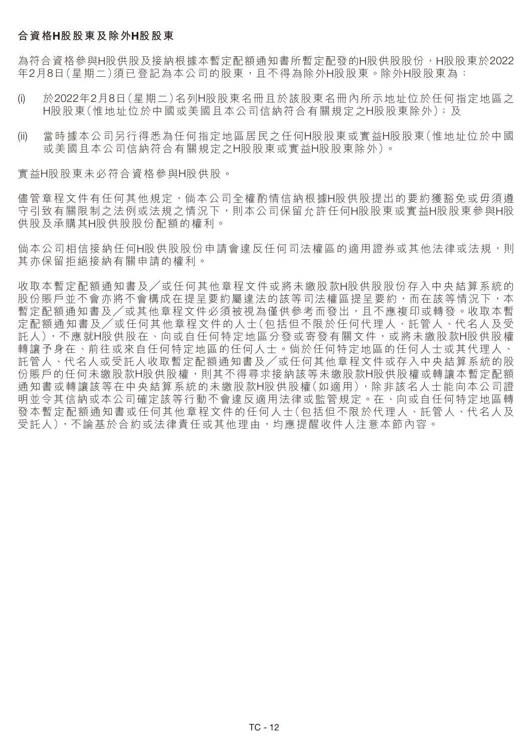### **合資格H股股東及除外H股股東**

為符合資格參與H股供股及接納根據本暫定配額通知書所暫定配發的H股供股股份,H股股東於2022 年2月8日(星期二)須已登記為本公司的股東,且不得為除外H股股東。除外H股股東為:

- (i) 於2022年2月8日(星期二)名列H股股東名冊且於該股東名冊內所示地址位於任何指定地區之 H股股東(惟地址位於中國或美國且本公司信納符合有關規定之H股股東除外);及
- (ii) 當時據本公司另行得悉為任何指定地區居民之任何H股股東或實益H股股東(惟地址位於中國 或美國且本公司信納符合有關規定之H股股東或實益H股股東除外)。

實益H股股東未必符合資格參與H股供股。

儘管章程文件有任何其他規定,倘本公司全權酌情信納根據H股供股提出的要約獲豁免或毋須遵 守引致有關限制之法例或法規之情況下,則本公司保留允許任何H股股東或實益H股股東參與H股 供股及承購其H股供股股份配額的權利。

倘本公司相信接納任何H股供股股份申請會違反任何司法權區的適用證券或其他法律或法規,則 其亦保留拒絕接納有關申請的權利。

收取本暫定配額通知書及╱或任何其他章程文件或將未繳股款H股供股股份存入中央結算系統的 股份賬戶並不會亦將不會構成在提呈要約屬違法的該等司法權區提呈要約,而在該等情況下,本 暫定配額通知書及/或其他章程文件必須被視為僅供參考而發出,且不應複印或轉發。收取本暫 定配額通知書及╱或任何其他章程文件的人士(包括但不限於任何代理人、託管人、代名人及受 託人),不應就H股供股在、向或自任何特定地區分發或寄發有關文件,或將未繳股款H股供股權 轉讓予身在、前往或來自任何特定地區的任何人士。倘於任何特定地區的任何人士或其代理人、 託管人、代名人或受託人收取暫定配額通知書及╱或任何其他章程文件或存入中央結算系統的股 份賬戶的任何未繳股款H股供股權,則其不得尋求接納該等未繳股款H股供股權或轉讓本暫定配額 通知書或轉讓該等在中央結算系統的未繳股款H股供股權(如適用),除非該名人士能向本公司證 明並令其信納或本公司確定該等行動不會違反適用法律或監管規定。在、向或自任何特定地區轉 發本暫定配額通知書或任何其他章程文件的任何人士(包括但不限於代理人、託管人、代名人及 受託人),不論基於合約或法律責任或其他理由,均應提醒收件人注意本節內容。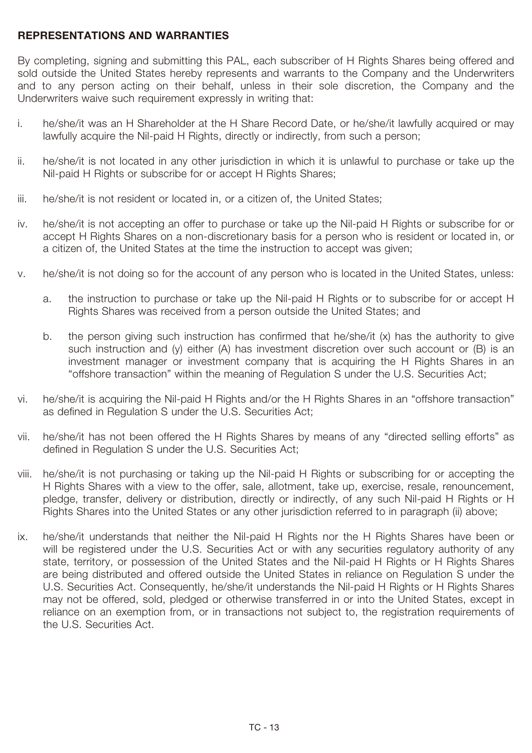# **REPRESENTATIONS AND WARRANTIES**

By completing, signing and submitting this PAL, each subscriber of H Rights Shares being offered and sold outside the United States hereby represents and warrants to the Company and the Underwriters and to any person acting on their behalf, unless in their sole discretion, the Company and the Underwriters waive such requirement expressly in writing that:

- i. he/she/it was an H Shareholder at the H Share Record Date, or he/she/it lawfully acquired or may lawfully acquire the Nil-paid H Rights, directly or indirectly, from such a person;
- ii. he/she/it is not located in any other jurisdiction in which it is unlawful to purchase or take up the Nil-paid H Rights or subscribe for or accept H Rights Shares;
- iii. he/she/it is not resident or located in, or a citizen of, the United States;
- iv. he/she/it is not accepting an offer to purchase or take up the Nil-paid H Rights or subscribe for or accept H Rights Shares on a non-discretionary basis for a person who is resident or located in, or a citizen of, the United States at the time the instruction to accept was given;
- v. he/she/it is not doing so for the account of any person who is located in the United States, unless:
	- a. the instruction to purchase or take up the Nil-paid H Rights or to subscribe for or accept H Rights Shares was received from a person outside the United States; and
	- b. the person giving such instruction has confirmed that he/she/it (x) has the authority to give such instruction and (y) either (A) has investment discretion over such account or (B) is an investment manager or investment company that is acquiring the H Rights Shares in an "offshore transaction" within the meaning of Regulation S under the U.S. Securities Act;
- vi. he/she/it is acquiring the Nil-paid H Rights and/or the H Rights Shares in an "offshore transaction" as defined in Regulation S under the U.S. Securities Act;
- vii. he/she/it has not been offered the H Rights Shares by means of any "directed selling efforts" as defined in Regulation S under the U.S. Securities Act;
- viii. he/she/it is not purchasing or taking up the Nil-paid H Rights or subscribing for or accepting the H Rights Shares with a view to the offer, sale, allotment, take up, exercise, resale, renouncement, pledge, transfer, delivery or distribution, directly or indirectly, of any such Nil-paid H Rights or H Rights Shares into the United States or any other jurisdiction referred to in paragraph (ii) above;
- ix. he/she/it understands that neither the Nil-paid H Rights nor the H Rights Shares have been or will be registered under the U.S. Securities Act or with any securities regulatory authority of any state, territory, or possession of the United States and the Nil-paid H Rights or H Rights Shares are being distributed and offered outside the United States in reliance on Regulation S under the U.S. Securities Act. Consequently, he/she/it understands the Nil-paid H Rights or H Rights Shares may not be offered, sold, pledged or otherwise transferred in or into the United States, except in reliance on an exemption from, or in transactions not subject to, the registration requirements of the U.S. Securities Act.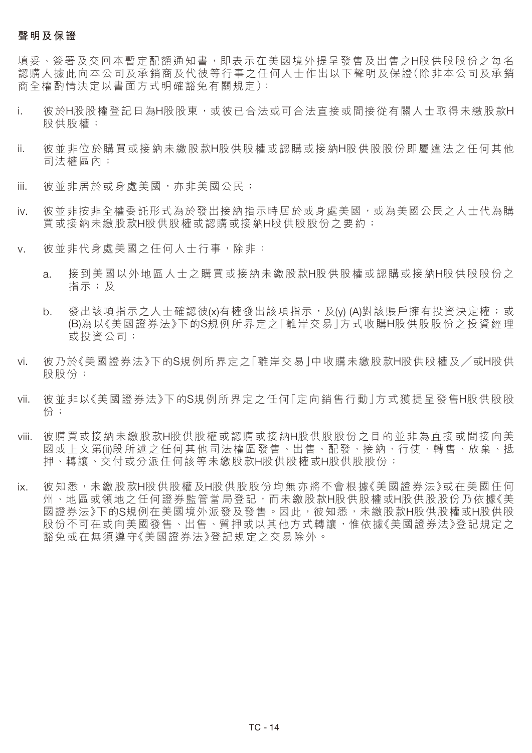#### **聲明及保證**

填妥、簽署及交回本暫定配額通知書,即表示在美國境外提呈發售及出售之H股供股股份之每名 認購人據此向本公司及承銷商及代彼等行事之任何人士作出以下聲明及保證(除非本公司及承銷 商全權酌情決定以書面方式明確豁免有關規定):

- i. 彼於H股股權登記日為H股股東,或彼已合法或可合法直接或間接從有關人士取得未繳股款H 股供股權;
- ii. 彼並非位於購買或接納未繳股款H股供股權或認購或接納H股供股股份即屬違法之任何其他 司法權區內;
- iii. 彼並非居於或身處美國,亦非美國公民;
- iv. 彼並非按非全權委託形式為於發出接納指示時居於或身處美國,或為美國公民之人士代為購 買或接納未繳股款H股供股權或認購或接納H股供股股份之要約;
- v. 彼並非代身處美國之任何人士行事,除非:
	- a. 接到美國以外地區人士之購買或接納未繳股款H股供股權或認購或接納H股供股股份之 指示;及
	- b. 發出該項指示之人士確認彼(x)有權發出該項指示,及(y) (A)對該賬戶擁有投資決定權;或 (B)為以《美國證券法》下的S規例所界定之「離岸交易」方式收購H股供股股份之投資經理 或投資公司;
- vi. 彼乃於《美國證券法》下的S規例所界定之「離岸交易」中收購未繳股款H股供股權及╱或H股供 股股份;
- vii. 彼並非以《美國證券法》下的S規例所界定之任何「定向銷售行動」方式獲提呈發售H股供股股 份;
- viii. 彼購買或接納未繳股款H股供股權或認購或接納H股供股股份之目的並非為直接或間接向美 國或上文第(ii)段所述之任何其他司法權區發售、出售、配發、接納、行使、轉售、放棄、抵 押、轉讓、交付或分派任何該等未繳股款H股供股權或H股供股股份;
- ix. 彼知悉,未繳股款H股供股權及H股供股股份均無亦將不會根據《美國證券法》或在美國任何 州、地區或領地之任何證券監管當局登記,而未繳股款H股供股權或H股供股股份乃依據《美 國證券法》下的S規例在美國境外派發及發售。因此, 彼知悉, 未繳股款H股供股權或H股供股 股份不可在或向美國發售、出售、質押或以其他方式轉讓,惟依據《美國證券法》登記規定之 豁免或在無須遵守《美國證券法》登記規定之交易除外。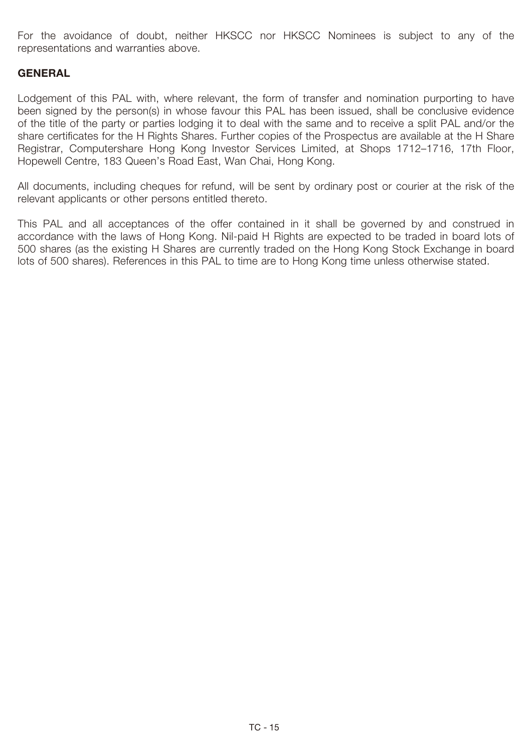For the avoidance of doubt, neither HKSCC nor HKSCC Nominees is subject to any of the representations and warranties above.

# **GENERAL**

Lodgement of this PAL with, where relevant, the form of transfer and nomination purporting to have been signed by the person(s) in whose favour this PAL has been issued, shall be conclusive evidence of the title of the party or parties lodging it to deal with the same and to receive a split PAL and/or the share certificates for the H Rights Shares. Further copies of the Prospectus are available at the H Share Registrar, Computershare Hong Kong Investor Services Limited, at Shops 1712–1716, 17th Floor, Hopewell Centre, 183 Queen's Road East, Wan Chai, Hong Kong.

All documents, including cheques for refund, will be sent by ordinary post or courier at the risk of the relevant applicants or other persons entitled thereto.

This PAL and all acceptances of the offer contained in it shall be governed by and construed in accordance with the laws of Hong Kong. Nil-paid H Rights are expected to be traded in board lots of 500 shares (as the existing H Shares are currently traded on the Hong Kong Stock Exchange in board lots of 500 shares). References in this PAL to time are to Hong Kong time unless otherwise stated.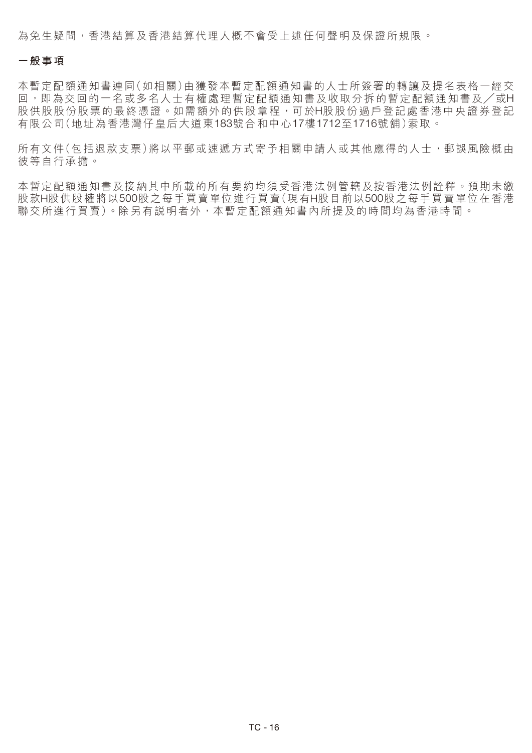為免生疑問,香港結算及香港結算代理人概不會受上述任何聲明及保證所規限。

#### **一般事項**

本暫定配額通知書連同(如相關)由獲發本暫定配額通知書的人士所簽署的轉讓及提名表格一經交 回,即為交回的一名或多名人士有權處理暫定配額通知書及收取分拆的暫定配額通知書及╱或H 股供股股份股票的最終憑證。如需額外的供股章程,可於H股股份過戶登記處香港中央證券登記 有限公司(地址為香港灣仔皇后大道東183號合和中心17樓1712至1716號舖)索取。

所有文件(包括退款支票)將以平郵或速遞方式寄予相關申請人或其他應得的人士,郵誤風險概由 彼等自行承擔。

本暫定配額通知書及接納其中所載的所有要約均須受香港法例管轄及按香港法例詮釋。預期未繳 股款H股供股權將以500股之每手買賣單位進行買賣(現有H股目前以500股之每手買賣單位在香港 聯交所進行買賣)。除另有說明者外,本暫定配額通知書內所提及的時間均為香港時間。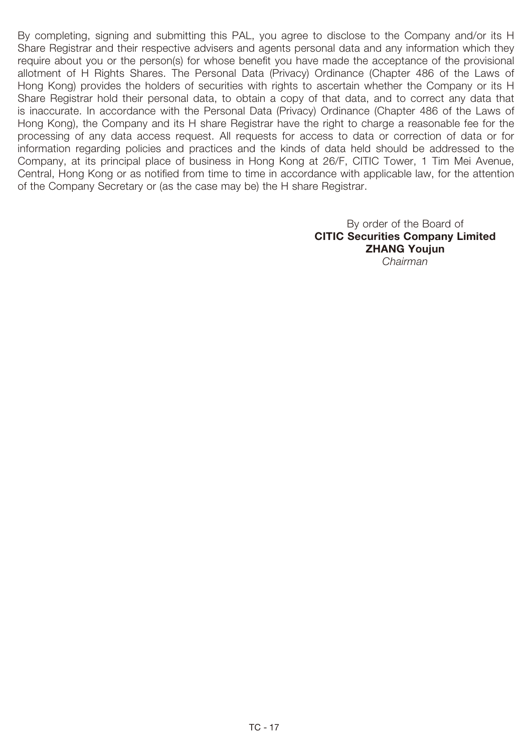By completing, signing and submitting this PAL, you agree to disclose to the Company and/or its H Share Registrar and their respective advisers and agents personal data and any information which they require about you or the person(s) for whose benefit you have made the acceptance of the provisional allotment of H Rights Shares. The Personal Data (Privacy) Ordinance (Chapter 486 of the Laws of Hong Kong) provides the holders of securities with rights to ascertain whether the Company or its H Share Registrar hold their personal data, to obtain a copy of that data, and to correct any data that is inaccurate. In accordance with the Personal Data (Privacy) Ordinance (Chapter 486 of the Laws of Hong Kong), the Company and its H share Registrar have the right to charge a reasonable fee for the processing of any data access request. All requests for access to data or correction of data or for information regarding policies and practices and the kinds of data held should be addressed to the Company, at its principal place of business in Hong Kong at 26/F, CITIC Tower, 1 Tim Mei Avenue, Central, Hong Kong or as notified from time to time in accordance with applicable law, for the attention of the Company Secretary or (as the case may be) the H share Registrar.

> By order of the Board of **CITIC Securities Company Limited ZHANG Youjun** *Chairman*